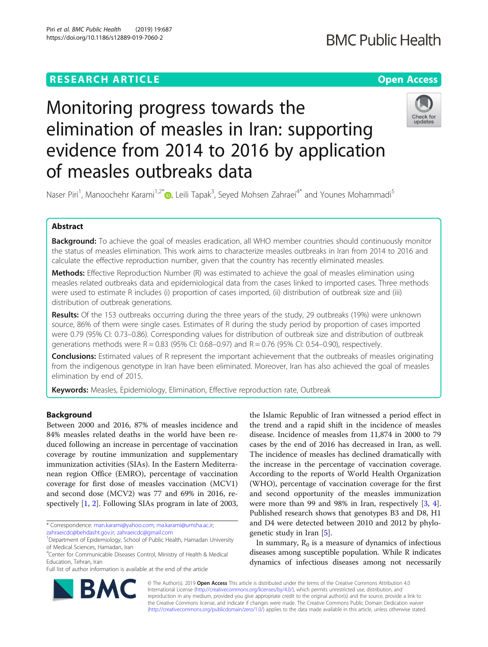# **RESEARCH ARTICLE Example 2014 12:30 The Contract of Contract ACCESS**

# Monitoring progress towards the elimination of measles in Iran: supporting evidence from 2014 to 2016 by application of measles outbreaks data



Naser Piri<sup>1</sup>, Manoochehr Karami<sup>1,2\*</sup> (D, Leili Tapak<sup>3</sup>, Seyed Mohsen Zahraei<sup>4\*</sup> and Younes Mohammadi<sup>5</sup>

# Abstract

Background: To achieve the goal of measles eradication, all WHO member countries should continuously monitor the status of measles elimination. This work aims to characterize measles outbreaks in Iran from 2014 to 2016 and calculate the effective reproduction number, given that the country has recently eliminated measles.

**Methods:** Effective Reproduction Number (R) was estimated to achieve the goal of measles elimination using measles related outbreaks data and epidemiological data from the cases linked to imported cases. Three methods were used to estimate R includes (i) proportion of cases imported, (ii) distribution of outbreak size and (iii) distribution of outbreak generations.

Results: Of the 153 outbreaks occurring during the three years of the study, 29 outbreaks (19%) were unknown source, 86% of them were single cases. Estimates of R during the study period by proportion of cases imported were 0.79 (95% CI: 0.73–0.86). Corresponding values for distribution of outbreak size and distribution of outbreak generations methods were  $R = 0.83$  (95% CI: 0.68–0.97) and  $R = 0.76$  (95% CI: 0.54–0.90), respectively.

**Conclusions:** Estimated values of R represent the important achievement that the outbreaks of measles originating from the indigenous genotype in Iran have been eliminated. Moreover, Iran has also achieved the goal of measles elimination by end of 2015.

Keywords: Measles, Epidemiology, Elimination, Effective reproduction rate, Outbreak

# Background

Between 2000 and 2016, 87% of measles incidence and 84% measles related deaths in the world have been reduced following an increase in percentage of vaccination coverage by routine immunization and supplementary immunization activities (SIAs). In the Eastern Mediterranean region Office (EMRO), percentage of vaccination coverage for first dose of measles vaccination (MCV1) and second dose (MCV2) was 77 and 69% in 2016, respectively [\[1](#page-6-0), [2](#page-6-0)]. Following SIAs program in late of 2003,

\* Correspondence: [man.karami@yahoo.com;](mailto:man.karami@yahoo.com) [ma.karami@umsha.ac.ir;](mailto:ma.karami@umsha.ac.ir) [zahraeicdc@behdasht.gov.ir](mailto:zahraeicdc@behdasht.gov.ir); [zahraeicdc@gmail.com](mailto:zahraeicdc@gmail.com) <sup>1</sup>

Full list of author information is available at the end of the article

the Islamic Republic of Iran witnessed a period effect in the trend and a rapid shift in the incidence of measles disease. Incidence of measles from 11,874 in 2000 to 79 cases by the end of 2016 has decreased in Iran, as well. The incidence of measles has declined dramatically with the increase in the percentage of vaccination coverage. According to the reports of World Health Organization (WHO), percentage of vaccination coverage for the first and second opportunity of the measles immunization were more than 99 and 98% in Iran, respectively [\[3](#page-6-0), [4](#page-6-0)]. Published research shows that genotypes B3 and D8, H1 and D4 were detected between 2010 and 2012 by phylogenetic study in Iran [\[5](#page-6-0)].

In summary,  $R_0$  is a measure of dynamics of infectious diseases among susceptible population. While R indicates dynamics of infectious diseases among not necessarily



© The Author(s). 2019 **Open Access** This article is distributed under the terms of the Creative Commons Attribution 4.0 International License [\(http://creativecommons.org/licenses/by/4.0/](http://creativecommons.org/licenses/by/4.0/)), which permits unrestricted use, distribution, and reproduction in any medium, provided you give appropriate credit to the original author(s) and the source, provide a link to the Creative Commons license, and indicate if changes were made. The Creative Commons Public Domain Dedication waiver [\(http://creativecommons.org/publicdomain/zero/1.0/](http://creativecommons.org/publicdomain/zero/1.0/)) applies to the data made available in this article, unless otherwise stated.

Department of Epidemiology, School of Public Health, Hamadan University of Medical Sciences, Hamadan, Iran

<sup>&</sup>lt;sup>4</sup> Center for Communicable Diseases Control, Ministry of Health & Medical Education, Tehran, Iran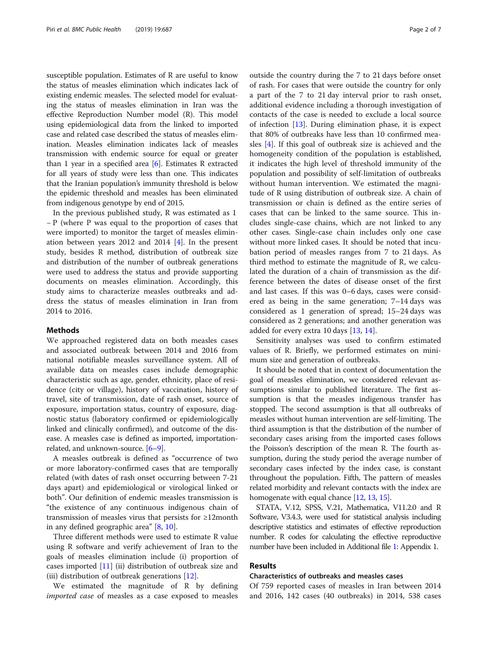susceptible population. Estimates of R are useful to know the status of measles elimination which indicates lack of existing endemic measles. The selected model for evaluating the status of measles elimination in Iran was the effective Reproduction Number model (R). This model using epidemiological data from the linked to imported case and related case described the status of measles elimination. Measles elimination indicates lack of measles transmission with endemic source for equal or greater than 1 year in a specified area  $[6]$  $[6]$ . Estimates R extracted for all years of study were less than one. This indicates that the Iranian population's immunity threshold is below the epidemic threshold and measles has been eliminated from indigenous genotype by end of 2015.

In the previous published study, R was estimated as 1 − P (where P was equal to the proportion of cases that were imported) to monitor the target of measles elimination between years 2012 and 2014 [[4](#page-6-0)]. In the present study, besides R method, distribution of outbreak size and distribution of the number of outbreak generations were used to address the status and provide supporting documents on measles elimination. Accordingly, this study aims to characterize measles outbreaks and address the status of measles elimination in Iran from 2014 to 2016.

### Methods

We approached registered data on both measles cases and associated outbreak between 2014 and 2016 from national notifiable measles surveillance system. All of available data on measles cases include demographic characteristic such as age, gender, ethnicity, place of residence (city or village), history of vaccination, history of travel, site of transmission, date of rash onset, source of exposure, importation status, country of exposure, diagnostic status (laboratory confirmed or epidemiologically linked and clinically confirmed), and outcome of the disease. A measles case is defined as imported, importationrelated, and unknown-source. [\[6](#page-6-0)–[9\]](#page-6-0).

A measles outbreak is defined as "occurrence of two or more laboratory-confirmed cases that are temporally related (with dates of rash onset occurring between 7-21 days apart) and epidemiological or virological linked or both". Our definition of endemic measles transmission is "the existence of any continuous indigenous chain of transmission of measles virus that persists for ≥12month in any defined geographic area" [[8,](#page-6-0) [10\]](#page-6-0).

Three different methods were used to estimate R value using R software and verify achievement of Iran to the goals of measles elimination include (i) proportion of cases imported [[11\]](#page-6-0) (ii) distribution of outbreak size and (iii) distribution of outbreak generations [\[12](#page-6-0)].

We estimated the magnitude of R by defining imported case of measles as a case exposed to measles outside the country during the 7 to 21 days before onset of rash. For cases that were outside the country for only a part of the 7 to 21 day interval prior to rash onset, additional evidence including a thorough investigation of contacts of the case is needed to exclude a local source of infection  $[13]$  $[13]$ . During elimination phase, it is expect that 80% of outbreaks have less than 10 confirmed measles [\[4\]](#page-6-0). If this goal of outbreak size is achieved and the homogeneity condition of the population is established, it indicates the high level of threshold immunity of the population and possibility of self-limitation of outbreaks without human intervention. We estimated the magnitude of R using distribution of outbreak size. A chain of transmission or chain is defined as the entire series of cases that can be linked to the same source. This includes single-case chains, which are not linked to any other cases. Single-case chain includes only one case without more linked cases. It should be noted that incubation period of measles ranges from 7 to 21 days. As third method to estimate the magnitude of R, we calculated the duration of a chain of transmission as the difference between the dates of disease onset of the first and last cases. If this was 0–6 days, cases were considered as being in the same generation; 7–14 days was considered as 1 generation of spread; 15–24 days was considered as 2 generations; and another generation was added for every extra 10 days [\[13,](#page-6-0) [14\]](#page-6-0).

Sensitivity analyses was used to confirm estimated values of R. Briefly, we performed estimates on minimum size and generation of outbreaks.

It should be noted that in context of documentation the goal of measles elimination, we considered relevant assumptions similar to published literature. The first assumption is that the measles indigenous transfer has stopped. The second assumption is that all outbreaks of measles without human intervention are self-limiting. The third assumption is that the distribution of the number of secondary cases arising from the imported cases follows the Poisson's description of the mean R. The fourth assumption, during the study period the average number of secondary cases infected by the index case, is constant throughout the population. Fifth, The pattern of measles related morbidity and relevant contacts with the index are homogenate with equal chance [\[12](#page-6-0), [13](#page-6-0), [15\]](#page-6-0).

STATA, V.12, SPSS, V.21, Mathematica, V11.2.0 and R Software, V3.4.3, were used for statistical analysis including descriptive statistics and estimates of effective reproduction number. R codes for calculating the effective reproductive number have been included in Additional file [1](#page-5-0): Appendix 1.

#### Results

# Characteristics of outbreaks and measles cases

Of 759 reported cases of measles in Iran between 2014 and 2016, 142 cases (40 outbreaks) in 2014, 538 cases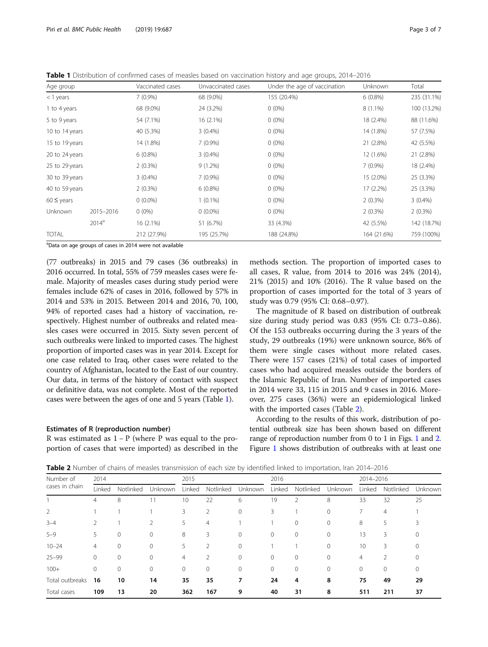<span id="page-2-0"></span>Table 1 Distribution of confirmed cases of measles based on vaccination history and age groups, 2014–2016

| Age group      |           | Vaccinated cases | Unvaccinated cases | Under the age of vaccination | Unknown     | Total       |
|----------------|-----------|------------------|--------------------|------------------------------|-------------|-------------|
| $<$ 1 years    |           | $7(0.9\%)$       | 68 (9.0%)          | 155 (20.4%)                  | $6(0.8\%)$  | 235 (31.1%) |
| 1 to 4 years   |           | 68 (9.0%)        | 24 (3.2%)          | $0(0\%)$                     | $8(1.1\%)$  | 100 (13.2%) |
| 5 to 9 years   |           | 54 (7.1%)        | 16 (2.1%)          | $0(0\%)$                     | 18 (2.4%)   | 88 (11.6%)  |
| 10 to 14 years |           | 40 (5.3%)        | $3(0.4\%)$         | $0(0\%)$                     |             | 57 (7.5%)   |
| 15 to 19 years |           | 14 (1.8%)        | $7(0.9\%)$         | $0(0\%)$                     | 21 (2.8%)   | 42 (5.5%)   |
| 20 to 24 years |           | $6(0.8\%)$       | $3(0.4\%)$         | $0(0\%)$                     | 12 (1.6%)   | 21 (2.8%)   |
| 25 to 29 years |           | 2(0.3%)          | $9(1.2\%)$         | $0(0\%)$                     | $7(0.9\%)$  | 18 (2.4%)   |
| 30 to 39 years |           | $3(0.4\%)$       | 7(0.9%)            | $0(0\%)$                     | 15 (2.0%)   | 25 (3.3%)   |
| 40 to 59 years |           | 2(0.3%)          | $6(0.8\%)$         | $0(0\%)$                     | 17 (2.2%)   | 25 (3.3%)   |
| $60 \le$ years |           | $0(0.0\%)$       | $1(0.1\%)$         | $0(0\%)$                     | $2(0.3\%)$  | $3(0.4\%)$  |
| Unknown        | 2015-2016 | $0(0\%)$         | $0(0.0\%)$         | $0(0\%)$                     | $2(0.3\%)$  | $2(0.3\%)$  |
|                | $2014^a$  | $16(2.1\%)$      | 51 (6.7%)          | 33 (4.3%)                    | 42 (5.5%)   | 142 (18.7%) |
| <b>TOTAL</b>   |           | 212 (27.9%)      | 195 (25.7%)        | 188 (24.8%)                  | 164 (21.6%) | 759 (100%)  |

<sup>a</sup>Data on age groups of cases in 2014 were not available

(77 outbreaks) in 2015 and 79 cases (36 outbreaks) in 2016 occurred. In total, 55% of 759 measles cases were female. Majority of measles cases during study period were females include 62% of cases in 2016, followed by 57% in 2014 and 53% in 2015. Between 2014 and 2016, 70, 100, 94% of reported cases had a history of vaccination, respectively. Highest number of outbreaks and related measles cases were occurred in 2015. Sixty seven percent of such outbreaks were linked to imported cases. The highest proportion of imported cases was in year 2014. Except for one case related to Iraq, other cases were related to the country of Afghanistan, located to the East of our country. Our data, in terms of the history of contact with suspect or definitive data, was not complete. Most of the reported cases were between the ages of one and 5 years (Table 1).

#### Estimates of R (reproduction number)

R was estimated as 1 − P (where P was equal to the proportion of cases that were imported) as described in the methods section. The proportion of imported cases to all cases, R value, from 2014 to 2016 was 24% (2014), 21% (2015) and 10% (2016). The R value based on the proportion of cases imported for the total of 3 years of study was 0.79 (95% CI: 0.68–0.97).

The magnitude of R based on distribution of outbreak size during study period was 0.83 (95% CI: 0.73–0.86). Of the 153 outbreaks occurring during the 3 years of the study, 29 outbreaks (19%) were unknown source, 86% of them were single cases without more related cases. There were 157 cases (21%) of total cases of imported cases who had acquired measles outside the borders of the Islamic Republic of Iran. Number of imported cases in 2014 were 33, 115 in 2015 and 9 cases in 2016. Moreover, 275 cases (36%) were an epidemiological linked with the imported cases (Table 2).

According to the results of this work, distribution of potential outbreak size has been shown based on different range of reproduction number from 0 to 1 in Figs. [1](#page-3-0) and [2](#page-3-0). Figure [1](#page-3-0) shows distribution of outbreaks with at least one

Table 2 Number of chains of measles transmission of each size by identified linked to importation, Iran 2014–2016

| Number of       | 2014     |           |                | 2015   |                |              | 2016     |             |          | 2014-2016 |           |             |
|-----------------|----------|-----------|----------------|--------|----------------|--------------|----------|-------------|----------|-----------|-----------|-------------|
| cases in chain  | Linked   | Notlinked | <b>Unknown</b> | Linked | Notlinked      | Unknown      | Linked   | Notlinked   | Unknown  | Linked    | Notlinked | Unknown     |
|                 | 4        | 8         | 11             | 10     | 22             | 6            | 19       | 2           | 8        | 33        | 32        | 25          |
| 2               |          |           |                | 3      | 2              | $\Omega$     | 3        |             | $\Omega$ |           | 4         |             |
| $3 - 4$         |          |           |                | 5      | $\overline{4}$ |              |          |             | 0        | 8         | 5         |             |
| $5 - 9$         | 5.       | 0         | $\Omega$       | 8      | 3              | $\mathbf{0}$ | $\Omega$ | $\mathbf 0$ | $\Omega$ | 13        | 3         | $\Omega$    |
| $10 - 24$       | 4        |           | $\Omega$       |        | $\mathfrak{D}$ | $\Omega$     |          |             | $\Omega$ | 10        | 3         |             |
| $25 - 99$       | 0        |           | 0              | 4      | 2              | $\Omega$     | $\Omega$ |             | 0        | 4         |           |             |
| $100+$          | $\Omega$ |           | $\Omega$       | 0      | $\Omega$       | $\Omega$     | $\Omega$ | $\Omega$    | $\Omega$ | 0         | $\Omega$  | $\mathbf 0$ |
| Total outbreaks | 16       | 10        | 14             | 35     | 35             |              | 24       | 4           | 8        | 75        | 49        | 29          |
| Total cases     | 109      | 13        | 20             | 362    | 167            | 9            | 40       | 31          | 8        | 511       | 211       | 37          |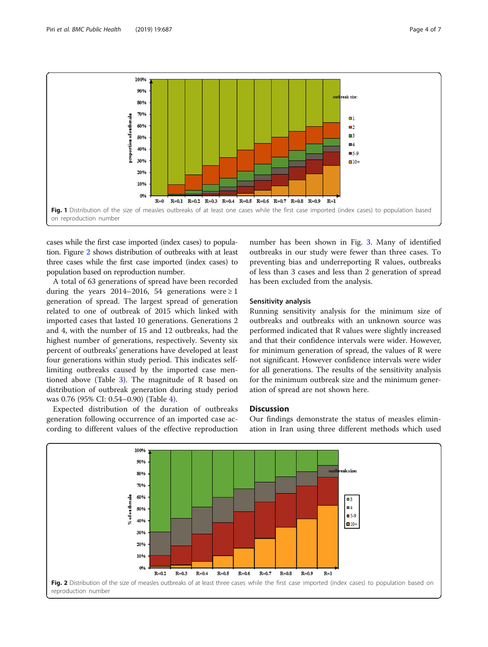<span id="page-3-0"></span>

cases while the first case imported (index cases) to population. Figure 2 shows distribution of outbreaks with at least three cases while the first case imported (index cases) to population based on reproduction number.

A total of 63 generations of spread have been recorded during the years 2014–2016, 54 generations were  $\geq 1$ generation of spread. The largest spread of generation related to one of outbreak of 2015 which linked with imported cases that lasted 10 generations. Generations 2 and 4, with the number of 15 and 12 outbreaks, had the highest number of generations, respectively. Seventy six percent of outbreaks' generations have developed at least four generations within study period. This indicates selflimiting outbreaks caused by the imported case mentioned above (Table [3](#page-4-0)). The magnitude of R based on distribution of outbreak generation during study period was 0.76 (95% CI: 0.54–0.90) (Table [4](#page-4-0)).

Expected distribution of the duration of outbreaks generation following occurrence of an imported case according to different values of the effective reproduction number has been shown in Fig. [3](#page-5-0). Many of identified outbreaks in our study were fewer than three cases. To preventing bias and underreporting R values, outbreaks of less than 3 cases and less than 2 generation of spread has been excluded from the analysis.

#### Sensitivity analysis

Running sensitivity analysis for the minimum size of outbreaks and outbreaks with an unknown source was performed indicated that R values were slightly increased and that their confidence intervals were wider. However, for minimum generation of spread, the values of R were not significant. However confidence intervals were wider for all generations. The results of the sensitivity analysis for the minimum outbreak size and the minimum generation of spread are not shown here.

#### **Discussion**

Our findings demonstrate the status of measles elimination in Iran using three different methods which used

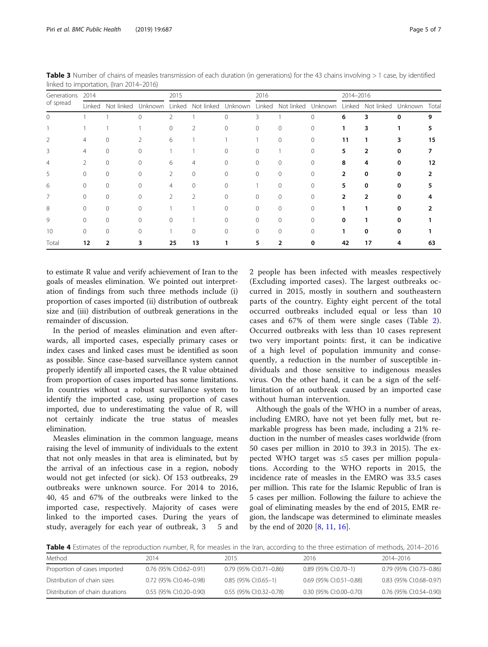to estimate R value and verify achievement of Iran to the goals of measles elimination. We pointed out interpretation of findings from such three methods include (i) proportion of cases imported (ii) distribution of outbreak size and (iii) distribution of outbreak generations in the remainder of discussion.

In the period of measles elimination and even afterwards, all imported cases, especially primary cases or index cases and linked cases must be identified as soon as possible. Since case-based surveillance system cannot properly identify all imported cases, the R value obtained from proportion of cases imported has some limitations. In countries without a robust surveillance system to identify the imported case, using proportion of cases imported, due to underestimating the value of R, will not certainly indicate the true status of measles elimination.

Measles elimination in the common language, means raising the level of immunity of individuals to the extent that not only measles in that area is eliminated, but by the arrival of an infectious case in a region, nobody would not get infected (or sick). Of 153 outbreaks, 29 outbreaks were unknown source. For 2014 to 2016, 40, 45 and 67% of the outbreaks were linked to the imported case, respectively. Majority of cases were linked to the imported cases. During the years of study, averagely for each year of outbreak, 3 5 and

2 people has been infected with measles respectively (Excluding imported cases). The largest outbreaks occurred in 2015, mostly in southern and southeastern parts of the country. Eighty eight percent of the total occurred outbreaks included equal or less than 10 cases and 67% of them were single cases (Table [2](#page-2-0)). Occurred outbreaks with less than 10 cases represent two very important points: first, it can be indicative of a high level of population immunity and consequently, a reduction in the number of susceptible individuals and those sensitive to indigenous measles virus. On the other hand, it can be a sign of the selflimitation of an outbreak caused by an imported case without human intervention.

Although the goals of the WHO in a number of areas, including EMRO, have not yet been fully met, but remarkable progress has been made, including a 21% reduction in the number of measles cases worldwide (from 50 cases per million in 2010 to 39.3 in 2015). The expected WHO target was ≤5 cases per million populations. According to the WHO reports in 2015, the incidence rate of measles in the EMRO was 33.5 cases per million. This rate for the Islamic Republic of Iran is 5 cases per million. Following the failure to achieve the goal of eliminating measles by the end of 2015, EMR region, the landscape was determined to eliminate measles by the end of 2020 [[8,](#page-6-0) [11](#page-6-0), [16](#page-6-0)].

|  |  |  |  | Table 4 Estimates of the reproduction number, R, for measles in the Iran, according to the three estimation of methods, 2014–2016 |  |
|--|--|--|--|-----------------------------------------------------------------------------------------------------------------------------------|--|
|  |  |  |  |                                                                                                                                   |  |

| Method                          | 2014                    | 2015                      | 2016                      | 2014-2016               |
|---------------------------------|-------------------------|---------------------------|---------------------------|-------------------------|
| Proportion of cases imported    | 0.76 (95% CI:0.62-0.91) | 0.79 (95% CI:0.71-0.86)   | 0.89 (95% CI:0.70-1)      | 0.79 (95% CI:0.73-0.86) |
| Distribution of chain sizes     | 0.72 (95% CI:0.46-0.98) | $0.85$ (95% CI:0.65-1)    | $0.69$ (95% CI:0.51-0.88) | 0.83 (95% CI:0.68-0.97) |
| Distribution of chain durations | 0.55 (95% CI:0.20-0.90) | $0.55$ (95% CI:0.32-0.78) | 0.30 (95% CI:0.00-0.70)   | 0.76 (95% CI:0.54-0.90) |

<span id="page-4-0"></span>Table 3 Number of chains of measles transmission of each duration (in generations) for the 43 chains involving > 1 case, by identified linked to importation, (Iran 2014–2016)

|                          | linked to importation, (Iran 2014–2016) |                   |   |          |          |          |      |                                                                               |  |           |  |               |    |
|--------------------------|-----------------------------------------|-------------------|---|----------|----------|----------|------|-------------------------------------------------------------------------------|--|-----------|--|---------------|----|
| Generations<br>of spread | 2014                                    |                   |   | 2015     |          |          | 2016 |                                                                               |  | 2014-2016 |  |               |    |
|                          |                                         | Linked Not linked |   |          |          |          |      | Unknown Linked Not-linked Unknown Linked Not-linked Unknown Linked Not-linked |  |           |  | Unknown Total |    |
|                          |                                         |                   | 0 |          |          | $\left($ |      |                                                                               |  | 6         |  | o             |    |
|                          |                                         |                   |   | $\Omega$ |          |          | 0    | $\Omega$                                                                      |  |           |  |               |    |
|                          |                                         |                   |   | 6        |          |          |      | $\Omega$                                                                      |  | 11        |  |               | 15 |
|                          |                                         |                   |   |          |          |          |      |                                                                               |  |           |  |               |    |
|                          |                                         |                   |   | 6        | 4        |          |      | $\Omega$                                                                      |  | Զ         |  |               | 12 |
|                          |                                         |                   |   |          | $\Omega$ |          |      |                                                                               |  |           |  |               |    |
|                          |                                         |                   |   |          |          |          |      |                                                                               |  |           |  |               |    |

7 0 0 0 0 2 2 0 0 0 0 0 0 2 2 0 0 4 8 0 0 0 0 1 1 0 0 0 0 0 0 1 1 0 0 2 9 0 0 0 0 0 1 0 0 0 0 0 0 0 0 0 1 0 0 1 0 0 1 0 0 1 0 0 1 0 0 1 0 0 1 0 0 1 0 0 1 10 0 0 0 1 0 0 0 0 0 0 0 0 0 1 0 0 0 1 0 0 0 1 0 0 0 1 0 0 0 1 0 0 0 1 0 0 0 1 0 0 0 0 1 0 0 0 0 1 0 0 0 0 0 1 Total 12 2 3 25 13 1 5 2 0 42 17 4 63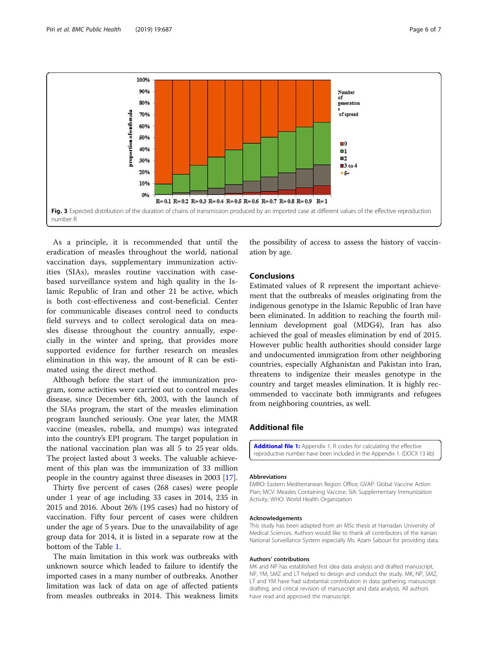<span id="page-5-0"></span>

As a principle, it is recommended that until the eradication of measles throughout the world, national vaccination days, supplementary immunization activities (SIAs), measles routine vaccination with casebased surveillance system and high quality in the Islamic Republic of Iran and other 21 be active, which is both cost-effectiveness and cost-beneficial. Center for communicable diseases control need to conducts field surveys and to collect serological data on measles disease throughout the country annually, especially in the winter and spring, that provides more supported evidence for further research on measles elimination in this way, the amount of R can be estimated using the direct method.

Although before the start of the immunization program, some activities were carried out to control measles disease, since December 6th, 2003, with the launch of the SIAs program, the start of the measles elimination program launched seriously. One year later, the MMR vaccine (measles, rubella, and mumps) was integrated into the country's EPI program. The target population in the national vaccination plan was all 5 to 25 year olds. The project lasted about 3 weeks. The valuable achievement of this plan was the immunization of 33 million people in the country against three diseases in 2003 [\[17\]](#page-6-0).

Thirty five percent of cases (268 cases) were people under 1 year of age including 33 cases in 2014, 235 in 2015 and 2016. About 26% (195 cases) had no history of vaccination. Fifty four percent of cases were children under the age of 5 years. Due to the unavailability of age group data for 2014, it is listed in a separate row at the bottom of the Table [1.](#page-2-0)

The main limitation in this work was outbreaks with unknown source which leaded to failure to identify the imported cases in a many number of outbreaks. Another limitation was lack of data on age of affected patients from measles outbreaks in 2014. This weakness limits the possibility of access to assess the history of vaccination by age.

# Conclusions

Estimated values of R represent the important achievement that the outbreaks of measles originating from the indigenous genotype in the Islamic Republic of Iran have been eliminated. In addition to reaching the fourth millennium development goal (MDG4), Iran has also achieved the goal of measles elimination by end of 2015. However public health authorities should consider large and undocumented immigration from other neighboring countries, especially Afghanistan and Pakistan into Iran, threatens to indigenize their measles genotype in the country and target measles elimination. It is highly recommended to vaccinate both immigrants and refugees from neighboring countries, as well.

# Additional file

[Additional file 1:](https://doi.org/10.1186/s12889-019-7060-2) Appendix 1: R codes for calculating the effective reproductive number have been included in the Appendix 1. (DOCX 13 kb)

#### Abbreviations

EMRO: Eastern Mediterranean Region Office; GVAP: Global Vaccine Action Plan; MCV: Measles Containing Vaccine; SIA: Supplementary Immunization Activity; WHO: World Health Organization

#### Acknowledgements

This study has been adapted from an MSc thesis at Hamadan University of Medical Sciences. Authors would like to thank all contributors of the Iranian National Surveillance System especially Ms. Azam Sabouri for providing data.

#### Authors' contributions

MK and NP has established first idea data analysis and drafted manuscript, NP, YM, SMZ and LT helped to design and conduct the study. MK, NP, SMZ, LT and YM have had substantial contribution in data gathering, manuscript drafting, and critical revision of manuscript and data analysis. All authors have read and approved the manuscript.